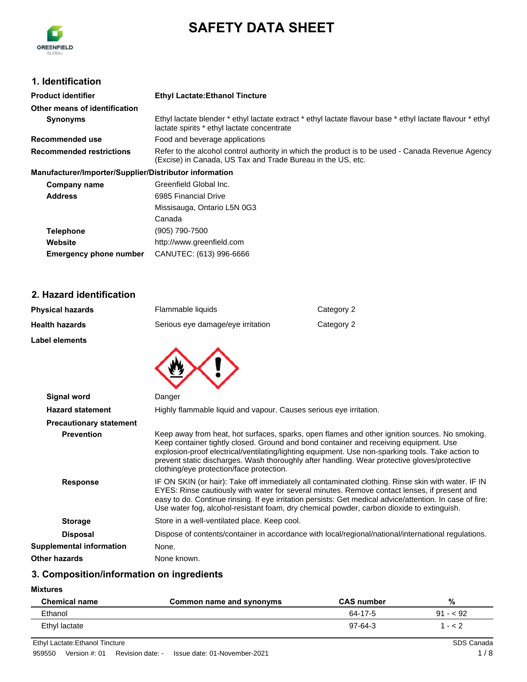

# **SAFETY DATA SHEET**

#### **1. Identification**

| <b>Product identifier</b>                              | <b>Ethyl Lactate: Ethanol Tincture</b>                                                                                                                           |
|--------------------------------------------------------|------------------------------------------------------------------------------------------------------------------------------------------------------------------|
| Other means of identification                          |                                                                                                                                                                  |
| <b>Synonyms</b>                                        | Ethyl lactate blender * ethyl lactate extract * ethyl lactate flavour base * ethyl lactate flavour * ethyl<br>lactate spirits * ethyl lactate concentrate        |
| Recommended use                                        | Food and beverage applications                                                                                                                                   |
| <b>Recommended restrictions</b>                        | Refer to the alcohol control authority in which the product is to be used - Canada Revenue Agency<br>(Excise) in Canada, US Tax and Trade Bureau in the US, etc. |
| Manufacturer/Importer/Supplier/Distributor information |                                                                                                                                                                  |
| Company name                                           | Greenfield Global Inc.                                                                                                                                           |
| <b>Address</b>                                         | 6985 Financial Drive                                                                                                                                             |
|                                                        | Missisauga, Ontario L5N 0G3                                                                                                                                      |
|                                                        | Canada                                                                                                                                                           |
| <b>Telephone</b>                                       | (905) 790-7500                                                                                                                                                   |
| Website                                                | http://www.greenfield.com                                                                                                                                        |
| <b>Emergency phone number</b>                          | CANUTEC: (613) 996-6666                                                                                                                                          |

#### **2. Hazard identification**

| <b>Physical hazards</b> | Flammable liquids                 | Category 2 |
|-------------------------|-----------------------------------|------------|
| <b>Health hazards</b>   | Serious eye damage/eye irritation | Category 2 |
| <b>Label elements</b>   |                                   |            |
|                         |                                   |            |
| Signal word             | Danger                            |            |
|                         |                                   |            |

| .                               |                                                                                                                                                                                                                                                                                                                                                                                                                                          |
|---------------------------------|------------------------------------------------------------------------------------------------------------------------------------------------------------------------------------------------------------------------------------------------------------------------------------------------------------------------------------------------------------------------------------------------------------------------------------------|
| <b>Hazard statement</b>         | Highly flammable liquid and vapour. Causes serious eye irritation.                                                                                                                                                                                                                                                                                                                                                                       |
| <b>Precautionary statement</b>  |                                                                                                                                                                                                                                                                                                                                                                                                                                          |
| <b>Prevention</b>               | Keep away from heat, hot surfaces, sparks, open flames and other ignition sources. No smoking.<br>Keep container tightly closed. Ground and bond container and receiving equipment. Use<br>explosion-proof electrical/ventilating/lighting equipment. Use non-sparking tools. Take action to<br>prevent static discharges. Wash thoroughly after handling. Wear protective gloves/protective<br>clothing/eye protection/face protection. |
| <b>Response</b>                 | IF ON SKIN (or hair): Take off immediately all contaminated clothing. Rinse skin with water. IF IN<br>EYES: Rinse cautiously with water for several minutes. Remove contact lenses, if present and<br>easy to do. Continue rinsing. If eye irritation persists: Get medical advice/attention. In case of fire:<br>Use water fog, alcohol-resistant foam, dry chemical powder, carbon dioxide to extinguish.                              |
| <b>Storage</b>                  | Store in a well-ventilated place. Keep cool.                                                                                                                                                                                                                                                                                                                                                                                             |
| <b>Disposal</b>                 | Dispose of contents/container in accordance with local/regional/national/international regulations.                                                                                                                                                                                                                                                                                                                                      |
| <b>Supplemental information</b> | None.                                                                                                                                                                                                                                                                                                                                                                                                                                    |
| Other hazards                   | None known.                                                                                                                                                                                                                                                                                                                                                                                                                              |

## **3. Composition/information on ingredients**

**Mixtures**

| <b>Chemical name</b> | Common name and synonyms | <b>CAS</b> number | %         |
|----------------------|--------------------------|-------------------|-----------|
| Ethanol              |                          | 64-17-5           | $91 - 92$ |
| Ethyl lactate        |                          | $97-64-3$         | $- < 2$   |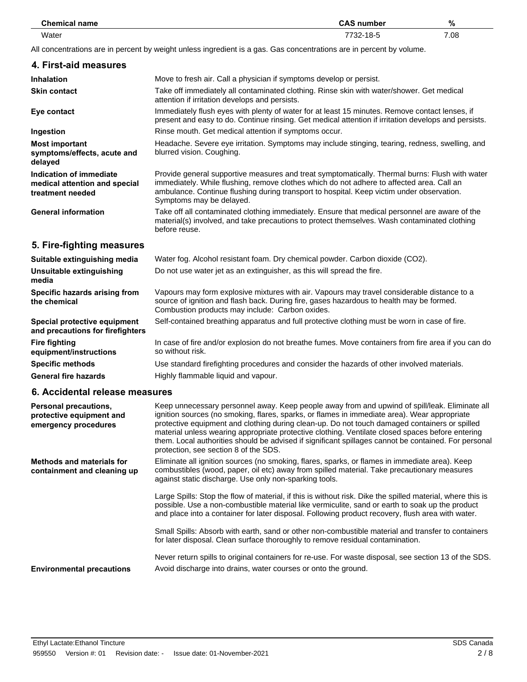| <b>Chemical name</b> | <b>CAS number</b> | %    |
|----------------------|-------------------|------|
| Water<br>.           | 7732-18-5         | 7.08 |

All concentrations are in percent by weight unless ingredient is a gas. Gas concentrations are in percent by volume.

| 4. First-aid measures                                                        |                                                                                                                                                                                                                                                                                                                      |
|------------------------------------------------------------------------------|----------------------------------------------------------------------------------------------------------------------------------------------------------------------------------------------------------------------------------------------------------------------------------------------------------------------|
| <b>Inhalation</b>                                                            | Move to fresh air. Call a physician if symptoms develop or persist.                                                                                                                                                                                                                                                  |
| <b>Skin contact</b>                                                          | Take off immediately all contaminated clothing. Rinse skin with water/shower. Get medical<br>attention if irritation develops and persists.                                                                                                                                                                          |
| Eye contact                                                                  | Immediately flush eyes with plenty of water for at least 15 minutes. Remove contact lenses, if<br>present and easy to do. Continue rinsing. Get medical attention if irritation develops and persists.                                                                                                               |
| Ingestion                                                                    | Rinse mouth. Get medical attention if symptoms occur.                                                                                                                                                                                                                                                                |
| <b>Most important</b><br>symptoms/effects, acute and<br>delayed              | Headache. Severe eye irritation. Symptoms may include stinging, tearing, redness, swelling, and<br>blurred vision. Coughing.                                                                                                                                                                                         |
| Indication of immediate<br>medical attention and special<br>treatment needed | Provide general supportive measures and treat symptomatically. Thermal burns: Flush with water<br>immediately. While flushing, remove clothes which do not adhere to affected area. Call an<br>ambulance. Continue flushing during transport to hospital. Keep victim under observation.<br>Symptoms may be delayed. |
| <b>General information</b>                                                   | Take off all contaminated clothing immediately. Ensure that medical personnel are aware of the<br>material(s) involved, and take precautions to protect themselves. Wash contaminated clothing<br>before reuse.                                                                                                      |
| 5. Fire-fighting measures                                                    |                                                                                                                                                                                                                                                                                                                      |
| Suitable extinguishing media                                                 | Water fog. Alcohol resistant foam. Dry chemical powder. Carbon dioxide (CO2).                                                                                                                                                                                                                                        |
| Unsuitable extinguishing<br>media                                            | Do not use water jet as an extinguisher, as this will spread the fire.                                                                                                                                                                                                                                               |
| Specific hazards arising from<br>the chemical                                | Vapours may form explosive mixtures with air. Vapours may travel considerable distance to a<br>source of ignition and flash back. During fire, gases hazardous to health may be formed.<br>Combustion products may include: Carbon oxides.                                                                           |
| Special protective equipment<br>and precautions for firefighters             | Self-contained breathing apparatus and full protective clothing must be worn in case of fire.                                                                                                                                                                                                                        |
| <b>Fire fighting</b><br>equipment/instructions                               | In case of fire and/or explosion do not breathe fumes. Move containers from fire area if you can do<br>so without risk.                                                                                                                                                                                              |
| <b>Specific methods</b>                                                      | Use standard firefighting procedures and consider the hazards of other involved materials.                                                                                                                                                                                                                           |
| <b>General fire hazards</b>                                                  | Highly flammable liquid and vapour.                                                                                                                                                                                                                                                                                  |
| 6. Accidental release measures                                               |                                                                                                                                                                                                                                                                                                                      |
| Dareanal procautione                                                         | Keep uppecessary personnel away. Keep people away from and upwind of spill/leak. Fliminate all                                                                                                                                                                                                                       |

| <b>Personal precautions,</b><br>protective equipment and<br>emergency procedures | Keep unnecessary personnel away. Keep people away from and upwind of spill/leak. Eliminate all<br>ignition sources (no smoking, flares, sparks, or flames in immediate area). Wear appropriate<br>protective equipment and clothing during clean-up. Do not touch damaged containers or spilled<br>material unless wearing appropriate protective clothing. Ventilate closed spaces before entering<br>them. Local authorities should be advised if significant spillages cannot be contained. For personal<br>protection, see section 8 of the SDS. |
|----------------------------------------------------------------------------------|------------------------------------------------------------------------------------------------------------------------------------------------------------------------------------------------------------------------------------------------------------------------------------------------------------------------------------------------------------------------------------------------------------------------------------------------------------------------------------------------------------------------------------------------------|
| <b>Methods and materials for</b><br>containment and cleaning up                  | Eliminate all ignition sources (no smoking, flares, sparks, or flames in immediate area). Keep<br>combustibles (wood, paper, oil etc) away from spilled material. Take precautionary measures<br>against static discharge. Use only non-sparking tools.                                                                                                                                                                                                                                                                                              |
|                                                                                  | Large Spills: Stop the flow of material, if this is without risk. Dike the spilled material, where this is<br>possible. Use a non-combustible material like vermiculite, sand or earth to soak up the product<br>and place into a container for later disposal. Following product recovery, flush area with water.                                                                                                                                                                                                                                   |
|                                                                                  | Small Spills: Absorb with earth, sand or other non-combustible material and transfer to containers<br>for later disposal. Clean surface thoroughly to remove residual contamination.                                                                                                                                                                                                                                                                                                                                                                 |
| <b>Environmental precautions</b>                                                 | Never return spills to original containers for re-use. For waste disposal, see section 13 of the SDS.<br>Avoid discharge into drains, water courses or onto the ground.                                                                                                                                                                                                                                                                                                                                                                              |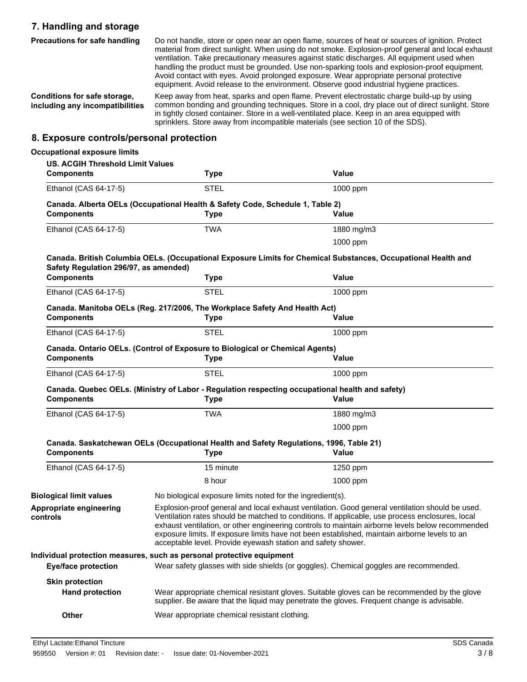## **7. Handling and storage**

| <b>Precautions for safe handling</b>                            | Do not handle, store or open near an open flame, sources of heat or sources of ignition. Protect<br>material from direct sunlight. When using do not smoke. Explosion-proof general and local exhaust<br>ventilation. Take precautionary measures against static discharges. All equipment used when<br>handling the product must be grounded. Use non-sparking tools and explosion-proof equipment.<br>Avoid contact with eyes. Avoid prolonged exposure. Wear appropriate personal protective<br>equipment. Avoid release to the environment. Observe good industrial hygiene practices. |
|-----------------------------------------------------------------|--------------------------------------------------------------------------------------------------------------------------------------------------------------------------------------------------------------------------------------------------------------------------------------------------------------------------------------------------------------------------------------------------------------------------------------------------------------------------------------------------------------------------------------------------------------------------------------------|
| Conditions for safe storage,<br>including any incompatibilities | Keep away from heat, sparks and open flame. Prevent electrostatic charge build-up by using<br>common bonding and grounding techniques. Store in a cool, dry place out of direct sunlight. Store<br>in tightly closed container. Store in a well-ventilated place. Keep in an area equipped with<br>sprinklers. Store away from incompatible materials (see section 10 of the SDS).                                                                                                                                                                                                         |

#### **8. Exposure controls/personal protection**

| <b>Occupational exposure limits</b>                          |                                                                                                                                                                                                                                                                                                                                                                                                                                                                         |                                                                                                                                                                                           |
|--------------------------------------------------------------|-------------------------------------------------------------------------------------------------------------------------------------------------------------------------------------------------------------------------------------------------------------------------------------------------------------------------------------------------------------------------------------------------------------------------------------------------------------------------|-------------------------------------------------------------------------------------------------------------------------------------------------------------------------------------------|
| <b>US. ACGIH Threshold Limit Values</b><br><b>Components</b> | <b>Type</b>                                                                                                                                                                                                                                                                                                                                                                                                                                                             | <b>Value</b>                                                                                                                                                                              |
| Ethanol (CAS 64-17-5)                                        | <b>STEL</b>                                                                                                                                                                                                                                                                                                                                                                                                                                                             | 1000 ppm                                                                                                                                                                                  |
| <b>Components</b>                                            | Canada. Alberta OELs (Occupational Health & Safety Code, Schedule 1, Table 2)<br><b>Type</b>                                                                                                                                                                                                                                                                                                                                                                            | <b>Value</b>                                                                                                                                                                              |
| Ethanol (CAS 64-17-5)                                        | <b>TWA</b>                                                                                                                                                                                                                                                                                                                                                                                                                                                              | 1880 mg/m3                                                                                                                                                                                |
|                                                              |                                                                                                                                                                                                                                                                                                                                                                                                                                                                         | 1000 ppm                                                                                                                                                                                  |
| Safety Regulation 296/97, as amended)                        |                                                                                                                                                                                                                                                                                                                                                                                                                                                                         | Canada. British Columbia OELs. (Occupational Exposure Limits for Chemical Substances, Occupational Health and                                                                             |
| <b>Components</b>                                            | <b>Type</b>                                                                                                                                                                                                                                                                                                                                                                                                                                                             | <b>Value</b>                                                                                                                                                                              |
| Ethanol (CAS 64-17-5)                                        | <b>STEL</b>                                                                                                                                                                                                                                                                                                                                                                                                                                                             | 1000 ppm                                                                                                                                                                                  |
| <b>Components</b>                                            | Canada. Manitoba OELs (Reg. 217/2006, The Workplace Safety And Health Act)<br><b>Type</b>                                                                                                                                                                                                                                                                                                                                                                               | Value                                                                                                                                                                                     |
| Ethanol (CAS 64-17-5)                                        | <b>STEL</b>                                                                                                                                                                                                                                                                                                                                                                                                                                                             |                                                                                                                                                                                           |
|                                                              |                                                                                                                                                                                                                                                                                                                                                                                                                                                                         | 1000 ppm                                                                                                                                                                                  |
| <b>Components</b>                                            | Canada. Ontario OELs. (Control of Exposure to Biological or Chemical Agents)<br><b>Type</b>                                                                                                                                                                                                                                                                                                                                                                             | Value                                                                                                                                                                                     |
| Ethanol (CAS 64-17-5)                                        | <b>STEL</b>                                                                                                                                                                                                                                                                                                                                                                                                                                                             | 1000 ppm                                                                                                                                                                                  |
| <b>Components</b>                                            | Canada. Quebec OELs. (Ministry of Labor - Regulation respecting occupational health and safety)<br>Type                                                                                                                                                                                                                                                                                                                                                                 | <b>Value</b>                                                                                                                                                                              |
| Ethanol (CAS 64-17-5)                                        | <b>TWA</b>                                                                                                                                                                                                                                                                                                                                                                                                                                                              | 1880 mg/m3                                                                                                                                                                                |
|                                                              |                                                                                                                                                                                                                                                                                                                                                                                                                                                                         | 1000 ppm                                                                                                                                                                                  |
| <b>Components</b>                                            | Canada. Saskatchewan OELs (Occupational Health and Safety Regulations, 1996, Table 21)<br><b>Type</b>                                                                                                                                                                                                                                                                                                                                                                   | <b>Value</b>                                                                                                                                                                              |
| Ethanol (CAS 64-17-5)                                        | 15 minute                                                                                                                                                                                                                                                                                                                                                                                                                                                               | 1250 ppm                                                                                                                                                                                  |
|                                                              | 8 hour                                                                                                                                                                                                                                                                                                                                                                                                                                                                  | 1000 ppm                                                                                                                                                                                  |
| <b>Biological limit values</b>                               | No biological exposure limits noted for the ingredient(s).                                                                                                                                                                                                                                                                                                                                                                                                              |                                                                                                                                                                                           |
| Appropriate engineering<br>controls                          | Explosion-proof general and local exhaust ventilation. Good general ventilation should be used.<br>Ventilation rates should be matched to conditions. If applicable, use process enclosures, local<br>exhaust ventilation, or other engineering controls to maintain airborne levels below recommended<br>exposure limits. If exposure limits have not been established, maintain airborne levels to an<br>acceptable level. Provide eyewash station and safety shower. |                                                                                                                                                                                           |
|                                                              | Individual protection measures, such as personal protective equipment                                                                                                                                                                                                                                                                                                                                                                                                   |                                                                                                                                                                                           |
|                                                              |                                                                                                                                                                                                                                                                                                                                                                                                                                                                         |                                                                                                                                                                                           |
| <b>Eye/face protection</b>                                   | Wear safety glasses with side shields (or goggles). Chemical goggles are recommended.                                                                                                                                                                                                                                                                                                                                                                                   |                                                                                                                                                                                           |
|                                                              |                                                                                                                                                                                                                                                                                                                                                                                                                                                                         |                                                                                                                                                                                           |
| <b>Skin protection</b><br><b>Hand protection</b>             |                                                                                                                                                                                                                                                                                                                                                                                                                                                                         | Wear appropriate chemical resistant gloves. Suitable gloves can be recommended by the glove<br>supplier. Be aware that the liquid may penetrate the gloves. Frequent change is advisable. |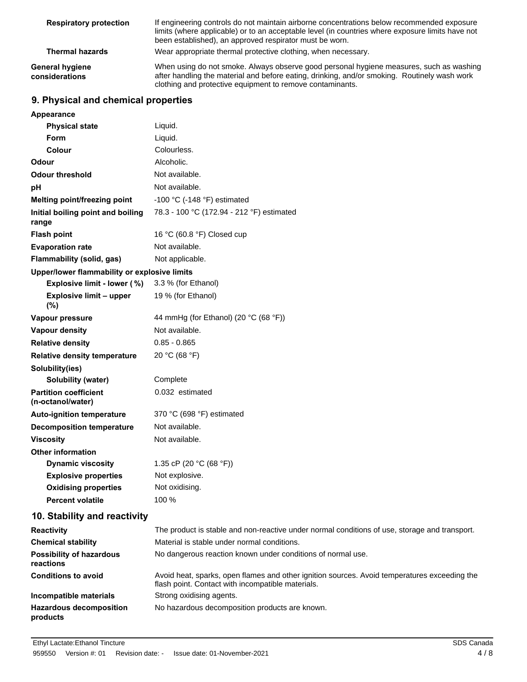| <b>Respiratory protection</b>     | If engineering controls do not maintain airborne concentrations below recommended exposure<br>limits (where applicable) or to an acceptable level (in countries where exposure limits have not<br>been established), an approved respirator must be worn. |  |
|-----------------------------------|-----------------------------------------------------------------------------------------------------------------------------------------------------------------------------------------------------------------------------------------------------------|--|
| <b>Thermal hazards</b>            | Wear appropriate thermal protective clothing, when necessary.                                                                                                                                                                                             |  |
| General hygiene<br>considerations | When using do not smoke. Always observe good personal hygiene measures, such as washing<br>after handling the material and before eating, drinking, and/or smoking. Routinely wash work<br>clothing and protective equipment to remove contaminants.      |  |

## **9. Physical and chemical properties**

| Appearance                                        |                                                                                                                                                   |
|---------------------------------------------------|---------------------------------------------------------------------------------------------------------------------------------------------------|
| <b>Physical state</b>                             | Liquid.                                                                                                                                           |
| Form                                              | Liquid.                                                                                                                                           |
| Colour                                            | Colourless.                                                                                                                                       |
| Odour                                             | Alcoholic.                                                                                                                                        |
| <b>Odour threshold</b>                            | Not available.                                                                                                                                    |
| рH                                                | Not available.                                                                                                                                    |
| Melting point/freezing point                      | -100 °C (-148 °F) estimated                                                                                                                       |
| Initial boiling point and boiling<br>range        | 78.3 - 100 °C (172.94 - 212 °F) estimated                                                                                                         |
| <b>Flash point</b>                                | 16 °C (60.8 °F) Closed cup                                                                                                                        |
| <b>Evaporation rate</b>                           | Not available.                                                                                                                                    |
| Flammability (solid, gas)                         | Not applicable.                                                                                                                                   |
| Upper/lower flammability or explosive limits      |                                                                                                                                                   |
| Explosive limit - lower (%)                       | 3.3 % (for Ethanol)                                                                                                                               |
| <b>Explosive limit - upper</b><br>(%)             | 19 % (for Ethanol)                                                                                                                                |
| Vapour pressure                                   | 44 mmHg (for Ethanol) (20 °C (68 °F))                                                                                                             |
| Vapour density                                    | Not available.                                                                                                                                    |
| <b>Relative density</b>                           | $0.85 - 0.865$                                                                                                                                    |
| <b>Relative density temperature</b>               | 20 °C (68 °F)                                                                                                                                     |
| Solubility(ies)                                   |                                                                                                                                                   |
| Solubility (water)                                | Complete                                                                                                                                          |
| <b>Partition coefficient</b><br>(n-octanol/water) | 0.032 estimated                                                                                                                                   |
| <b>Auto-ignition temperature</b>                  | 370 °C (698 °F) estimated                                                                                                                         |
| <b>Decomposition temperature</b>                  | Not available.                                                                                                                                    |
| <b>Viscosity</b>                                  | Not available.                                                                                                                                    |
| <b>Other information</b>                          |                                                                                                                                                   |
| <b>Dynamic viscosity</b>                          | 1.35 cP (20 $°C$ (68 °F))                                                                                                                         |
| <b>Explosive properties</b>                       | Not explosive.                                                                                                                                    |
| <b>Oxidising properties</b>                       | Not oxidising.                                                                                                                                    |
| <b>Percent volatile</b>                           | 100 %                                                                                                                                             |
| 10. Stability and reactivity                      |                                                                                                                                                   |
| <b>Reactivity</b>                                 | The product is stable and non-reactive under normal conditions of use, storage and transport.                                                     |
| <b>Chemical stability</b>                         | Material is stable under normal conditions.                                                                                                       |
| <b>Possibility of hazardous</b><br>reactions      | No dangerous reaction known under conditions of normal use.                                                                                       |
| <b>Conditions to avoid</b>                        | Avoid heat, sparks, open flames and other ignition sources. Avoid temperatures exceeding the<br>flash point. Contact with incompatible materials. |
| Incompatible materials                            | Strong oxidising agents.                                                                                                                          |
| <b>Hazardous decomposition</b><br>products        | No hazardous decomposition products are known.                                                                                                    |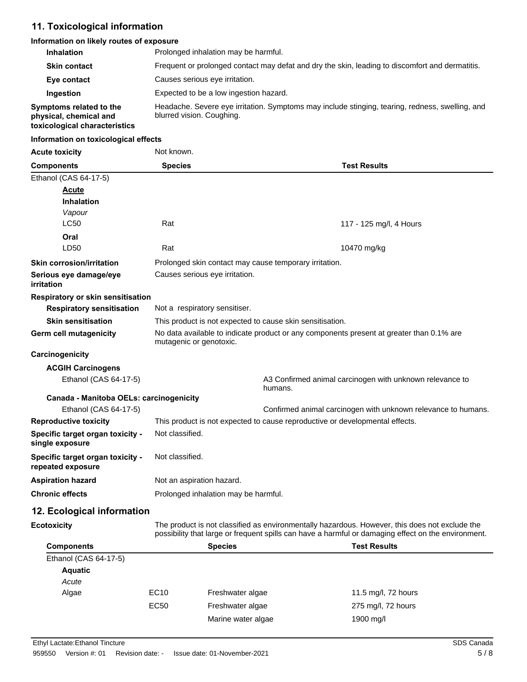#### **11. Toxicological information**

#### **Information on likely routes of exposure**

| <b>Inhalation</b>                                                                  | Prolonged inhalation may be harmful.                                                                                         |
|------------------------------------------------------------------------------------|------------------------------------------------------------------------------------------------------------------------------|
| <b>Skin contact</b>                                                                | Frequent or prolonged contact may defat and dry the skin, leading to discomfort and dermatitis.                              |
| Eye contact                                                                        | Causes serious eye irritation.                                                                                               |
| Ingestion                                                                          | Expected to be a low ingestion hazard.                                                                                       |
| Symptoms related to the<br>physical, chemical and<br>toxicological characteristics | Headache. Severe eye irritation. Symptoms may include stinging, tearing, redness, swelling, and<br>blurred vision. Coughing. |

#### **Information on toxicological effects**

| <b>Acute toxicity</b>                                                | Not known.                                                                                                          |                                                                              |
|----------------------------------------------------------------------|---------------------------------------------------------------------------------------------------------------------|------------------------------------------------------------------------------|
| <b>Components</b>                                                    | <b>Species</b>                                                                                                      | <b>Test Results</b>                                                          |
| Ethanol (CAS 64-17-5)<br><b>Acute</b><br><b>Inhalation</b><br>Vapour |                                                                                                                     |                                                                              |
| <b>LC50</b>                                                          | Rat                                                                                                                 | 117 - 125 mg/l, 4 Hours                                                      |
| Oral<br>LD50                                                         | Rat                                                                                                                 | 10470 mg/kg                                                                  |
| <b>Skin corrosion/irritation</b>                                     | Prolonged skin contact may cause temporary irritation.                                                              |                                                                              |
| Serious eye damage/eye<br>irritation                                 | Causes serious eye irritation.                                                                                      |                                                                              |
| Respiratory or skin sensitisation                                    |                                                                                                                     |                                                                              |
| <b>Respiratory sensitisation</b>                                     | Not a respiratory sensitiser.                                                                                       |                                                                              |
| <b>Skin sensitisation</b>                                            | This product is not expected to cause skin sensitisation.                                                           |                                                                              |
| Germ cell mutagenicity                                               | No data available to indicate product or any components present at greater than 0.1% are<br>mutagenic or genotoxic. |                                                                              |
| Carcinogenicity                                                      |                                                                                                                     |                                                                              |
| <b>ACGIH Carcinogens</b>                                             |                                                                                                                     |                                                                              |
| Ethanol (CAS 64-17-5)                                                |                                                                                                                     | A3 Confirmed animal carcinogen with unknown relevance to<br>humans.          |
| Canada - Manitoba OELs: carcinogenicity                              |                                                                                                                     |                                                                              |
| Ethanol (CAS 64-17-5)                                                |                                                                                                                     | Confirmed animal carcinogen with unknown relevance to humans.                |
| <b>Reproductive toxicity</b>                                         |                                                                                                                     | This product is not expected to cause reproductive or developmental effects. |
| Specific target organ toxicity -<br>single exposure                  | Not classified.                                                                                                     |                                                                              |
| Specific target organ toxicity -<br>repeated exposure                | Not classified.                                                                                                     |                                                                              |
| <b>Aspiration hazard</b>                                             | Not an aspiration hazard.                                                                                           |                                                                              |
| <b>Chronic effects</b>                                               | Prolonged inhalation may be harmful.                                                                                |                                                                              |

### **12. Ecological information**

**Ecotoxicity**

The product is not classified as environmentally hazardous. However, this does not exclude the possibility that large or frequent spills can have a harmful or damaging effect on the environment.

| <b>Components</b>     |                  | <b>Species</b>     | <b>Test Results</b> |  |
|-----------------------|------------------|--------------------|---------------------|--|
| Ethanol (CAS 64-17-5) |                  |                    |                     |  |
| <b>Aquatic</b>        |                  |                    |                     |  |
| Acute                 |                  |                    |                     |  |
| Algae                 | EC <sub>10</sub> | Freshwater algae   | 11.5 mg/l, 72 hours |  |
|                       | EC50             | Freshwater algae   | 275 mg/l, 72 hours  |  |
|                       |                  | Marine water algae | 1900 mg/l           |  |
|                       |                  |                    |                     |  |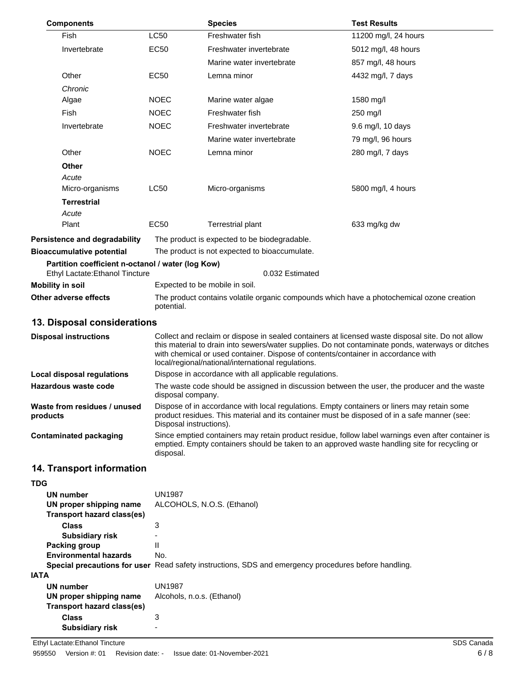| <b>Components</b>                                                                    |             | <b>Species</b>                                                                                                                                                                                                                                                                                                                                    | <b>Test Results</b>                                                                                                                                                                                 |
|--------------------------------------------------------------------------------------|-------------|---------------------------------------------------------------------------------------------------------------------------------------------------------------------------------------------------------------------------------------------------------------------------------------------------------------------------------------------------|-----------------------------------------------------------------------------------------------------------------------------------------------------------------------------------------------------|
| Fish                                                                                 | LC50        | Freshwater fish                                                                                                                                                                                                                                                                                                                                   | 11200 mg/l, 24 hours                                                                                                                                                                                |
| Invertebrate                                                                         | <b>EC50</b> | Freshwater invertebrate                                                                                                                                                                                                                                                                                                                           | 5012 mg/l, 48 hours                                                                                                                                                                                 |
|                                                                                      |             | Marine water invertebrate                                                                                                                                                                                                                                                                                                                         | 857 mg/l, 48 hours                                                                                                                                                                                  |
| Other                                                                                | <b>EC50</b> | Lemna minor                                                                                                                                                                                                                                                                                                                                       | 4432 mg/l, 7 days                                                                                                                                                                                   |
| Chronic                                                                              |             |                                                                                                                                                                                                                                                                                                                                                   |                                                                                                                                                                                                     |
| Algae                                                                                | <b>NOEC</b> | Marine water algae                                                                                                                                                                                                                                                                                                                                | 1580 mg/l                                                                                                                                                                                           |
| Fish                                                                                 | <b>NOEC</b> | Freshwater fish                                                                                                                                                                                                                                                                                                                                   | 250 mg/l                                                                                                                                                                                            |
| Invertebrate                                                                         | <b>NOEC</b> | Freshwater invertebrate                                                                                                                                                                                                                                                                                                                           | 9.6 mg/l, 10 days                                                                                                                                                                                   |
|                                                                                      |             | Marine water invertebrate                                                                                                                                                                                                                                                                                                                         | 79 mg/l, 96 hours                                                                                                                                                                                   |
| Other                                                                                | <b>NOEC</b> | Lemna minor                                                                                                                                                                                                                                                                                                                                       | 280 mg/l, 7 days                                                                                                                                                                                    |
| Other                                                                                |             |                                                                                                                                                                                                                                                                                                                                                   |                                                                                                                                                                                                     |
| Acute                                                                                |             |                                                                                                                                                                                                                                                                                                                                                   |                                                                                                                                                                                                     |
| Micro-organisms                                                                      | <b>LC50</b> | Micro-organisms                                                                                                                                                                                                                                                                                                                                   | 5800 mg/l, 4 hours                                                                                                                                                                                  |
| <b>Terrestrial</b>                                                                   |             |                                                                                                                                                                                                                                                                                                                                                   |                                                                                                                                                                                                     |
| Acute                                                                                |             |                                                                                                                                                                                                                                                                                                                                                   |                                                                                                                                                                                                     |
| Plant                                                                                | <b>EC50</b> | <b>Terrestrial plant</b>                                                                                                                                                                                                                                                                                                                          | 633 mg/kg dw                                                                                                                                                                                        |
| Persistence and degradability                                                        |             | The product is expected to be biodegradable.                                                                                                                                                                                                                                                                                                      |                                                                                                                                                                                                     |
| <b>Bioaccumulative potential</b>                                                     |             | The product is not expected to bioaccumulate.                                                                                                                                                                                                                                                                                                     |                                                                                                                                                                                                     |
| Partition coefficient n-octanol / water (log Kow)<br>Ethyl Lactate: Ethanol Tincture |             | 0.032 Estimated                                                                                                                                                                                                                                                                                                                                   |                                                                                                                                                                                                     |
| <b>Mobility in soil</b>                                                              |             | Expected to be mobile in soil.                                                                                                                                                                                                                                                                                                                    |                                                                                                                                                                                                     |
| Other adverse effects                                                                | potential.  | The product contains volatile organic compounds which have a photochemical ozone creation                                                                                                                                                                                                                                                         |                                                                                                                                                                                                     |
| 13. Disposal considerations                                                          |             |                                                                                                                                                                                                                                                                                                                                                   |                                                                                                                                                                                                     |
| <b>Disposal instructions</b>                                                         |             | Collect and reclaim or dispose in sealed containers at licensed waste disposal site. Do not allow<br>this material to drain into sewers/water supplies. Do not contaminate ponds, waterways or ditches<br>with chemical or used container. Dispose of contents/container in accordance with<br>local/regional/national/international regulations. |                                                                                                                                                                                                     |
| <b>Local disposal regulations</b>                                                    |             | Dispose in accordance with all applicable regulations.                                                                                                                                                                                                                                                                                            |                                                                                                                                                                                                     |
| <b>Hazardous waste code</b>                                                          |             | The waste code should be assigned in discussion between the user, the producer and the waste<br>disposal company.                                                                                                                                                                                                                                 |                                                                                                                                                                                                     |
| Waste from residues / unused<br>products                                             |             | Dispose of in accordance with local regulations. Empty containers or liners may retain some<br>product residues. This material and its container must be disposed of in a safe manner (see:<br>Disposal instructions).                                                                                                                            |                                                                                                                                                                                                     |
| <b>Contaminated packaging</b>                                                        | disposal.   |                                                                                                                                                                                                                                                                                                                                                   | Since emptied containers may retain product residue, follow label warnings even after container is<br>emptied. Empty containers should be taken to an approved waste handling site for recycling or |
| 14. Transport information                                                            |             |                                                                                                                                                                                                                                                                                                                                                   |                                                                                                                                                                                                     |

| 14. Transport informatio |  |
|--------------------------|--|
|--------------------------|--|

| <b>TDG</b>                   |                                                                                                      |
|------------------------------|------------------------------------------------------------------------------------------------------|
| UN number                    | <b>UN1987</b>                                                                                        |
| UN proper shipping name      | ALCOHOLS, N.O.S. (Ethanol)                                                                           |
| Transport hazard class(es)   |                                                                                                      |
| <b>Class</b>                 | 3                                                                                                    |
| <b>Subsidiary risk</b>       | ۰                                                                                                    |
| Packing group                | $\mathsf{II}$                                                                                        |
| <b>Environmental hazards</b> | No.                                                                                                  |
|                              | Special precautions for user Read safety instructions, SDS and emergency procedures before handling. |
| <b>IATA</b>                  |                                                                                                      |
| <b>UN number</b>             | <b>UN1987</b>                                                                                        |
| UN proper shipping name      | Alcohols, n.o.s. (Ethanol)                                                                           |
| Transport hazard class(es)   |                                                                                                      |
| <b>Class</b>                 | 3                                                                                                    |
| <b>Subsidiary risk</b>       |                                                                                                      |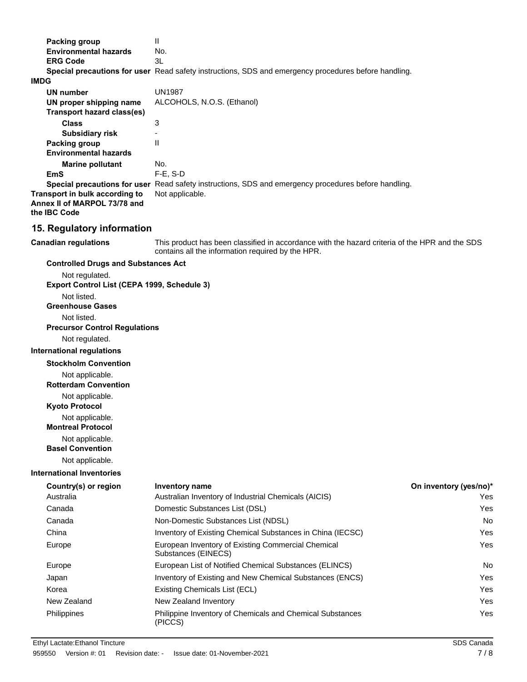| $\mathbf{H}$<br>No.<br>3L                                                                                                                           |
|-----------------------------------------------------------------------------------------------------------------------------------------------------|
| Special precautions for user Read safety instructions, SDS and emergency procedures before handling.                                                |
| <b>UN1987</b>                                                                                                                                       |
|                                                                                                                                                     |
| ALCOHOLS, N.O.S. (Ethanol)                                                                                                                          |
| 3                                                                                                                                                   |
|                                                                                                                                                     |
| $\mathbf{H}$                                                                                                                                        |
|                                                                                                                                                     |
| No.                                                                                                                                                 |
| F-E, S-D                                                                                                                                            |
| Special precautions for user Read safety instructions, SDS and emergency procedures before handling.<br>Not applicable.                             |
|                                                                                                                                                     |
| 15. Regulatory information                                                                                                                          |
| This product has been classified in accordance with the hazard criteria of the HPR and the SDS<br>contains all the information required by the HPR. |
| <b>Controlled Drugs and Substances Act</b>                                                                                                          |
|                                                                                                                                                     |
| Export Control List (CEPA 1999, Schedule 3)                                                                                                         |
|                                                                                                                                                     |
|                                                                                                                                                     |
|                                                                                                                                                     |
| <b>Precursor Control Regulations</b>                                                                                                                |
|                                                                                                                                                     |
|                                                                                                                                                     |

**International regulations**

**Stockholm Convention**

Not applicable.

**Rotterdam Convention**

Not applicable.

**Kyoto Protocol**

Not applicable.

**Montreal Protocol**

Not applicable.

**Basel Convention**

Not applicable.

#### **International Inventories**

| Country(s) or region | <b>Inventory name</b>                                                       | On inventory (yes/no)* |
|----------------------|-----------------------------------------------------------------------------|------------------------|
| Australia            | Australian Inventory of Industrial Chemicals (AICIS)                        | Yes                    |
| Canada               | Domestic Substances List (DSL)                                              | Yes                    |
| Canada               | Non-Domestic Substances List (NDSL)                                         | <b>No</b>              |
| China                | Inventory of Existing Chemical Substances in China (IECSC)                  | Yes                    |
| Europe               | European Inventory of Existing Commercial Chemical<br>Substances (EINECS)   | Yes                    |
| Europe               | European List of Notified Chemical Substances (ELINCS)                      | <b>No</b>              |
| Japan                | Inventory of Existing and New Chemical Substances (ENCS)                    | Yes                    |
| Korea                | Existing Chemicals List (ECL)                                               | Yes                    |
| New Zealand          | New Zealand Inventory                                                       | Yes                    |
| <b>Philippines</b>   | <b>Philippine Inventory of Chemicals and Chemical Substances</b><br>(PICCS) | Yes                    |